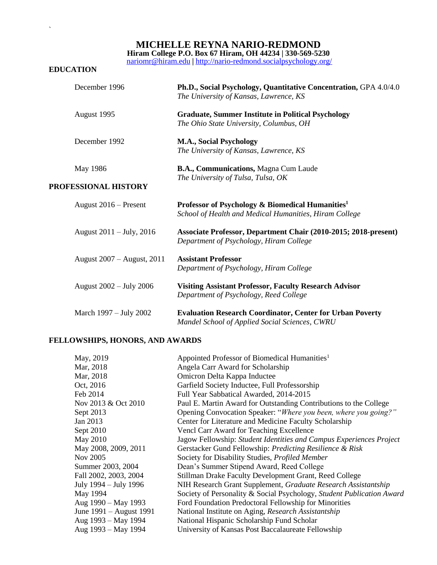**MICHELLE REYNA NARIO-REDMOND**

**Hiram College P.O. Box 67 Hiram, OH 44234 | 330-569-5230**

[nariomr@hiram.edu](mailto:Nariomr@hiram.edu) **|** <http://nario-redmond.socialpsychology.org/>

### **EDUCATION**

 $\mathbf{v}$ 

| December 1996              | Ph.D., Social Psychology, Quantitative Concentration, GPA 4.0/4.0<br>The University of Kansas, Lawrence, KS            |
|----------------------------|------------------------------------------------------------------------------------------------------------------------|
| August 1995                | <b>Graduate, Summer Institute in Political Psychology</b><br>The Ohio State University, Columbus, OH                   |
| December 1992              | <b>M.A., Social Psychology</b><br>The University of Kansas, Lawrence, KS                                               |
| May 1986                   | B.A., Communications, Magna Cum Laude                                                                                  |
| PROFESSIONAL HISTORY       | The University of Tulsa, Tulsa, OK                                                                                     |
| August $2016$ – Present    | Professor of Psychology & Biomedical Humanities <sup>1</sup><br>School of Health and Medical Humanities, Hiram College |
| August 2011 – July, 2016   | Associate Professor, Department Chair (2010-2015; 2018-present)<br>Department of Psychology, Hiram College             |
| August 2007 – August, 2011 | <b>Assistant Professor</b><br>Department of Psychology, Hiram College                                                  |
| August 2002 - July 2006    | <b>Visiting Assistant Professor, Faculty Research Advisor</b><br>Department of Psychology, Reed College                |
| March 1997 – July 2002     | <b>Evaluation Research Coordinator, Center for Urban Poverty</b><br>Mandel School of Applied Social Sciences, CWRU     |

# **FELLOWSHIPS, HONORS, AND AWARDS**

| May, 2019               | Appointed Professor of Biomedical Humanities <sup>1</sup>             |
|-------------------------|-----------------------------------------------------------------------|
| Mar, 2018               | Angela Carr Award for Scholarship                                     |
| Mar, 2018               | Omicron Delta Kappa Inductee                                          |
| Oct, 2016               | Garfield Society Inductee, Full Professorship                         |
| Feb 2014                | Full Year Sabbatical Awarded, 2014-2015                               |
| Nov 2013 & Oct 2010     | Paul E. Martin Award for Outstanding Contributions to the College     |
| Sept 2013               | Opening Convocation Speaker: "Where you been, where you going?"       |
| Jan 2013                | Center for Literature and Medicine Faculty Scholarship                |
| Sept 2010               | Vencl Carr Award for Teaching Excellence                              |
| May 2010                | Jagow Fellowship: Student Identities and Campus Experiences Project   |
| May 2008, 2009, 2011    | Gerstacker Gund Fellowship: Predicting Resilience & Risk              |
| Nov 2005                | Society for Disability Studies, Profiled Member                       |
| Summer 2003, 2004       | Dean's Summer Stipend Award, Reed College                             |
| Fall 2002, 2003, 2004   | Stillman Drake Faculty Development Grant, Reed College                |
| July 1994 – July 1996   | NIH Research Grant Supplement, Graduate Research Assistantship        |
| May 1994                | Society of Personality & Social Psychology, Student Publication Award |
| Aug 1990 - May 1993     | Ford Foundation Predoctoral Fellowship for Minorities                 |
| June 1991 – August 1991 | National Institute on Aging, Research Assistantship                   |
| Aug 1993 - May 1994     | National Hispanic Scholarship Fund Scholar                            |
| Aug 1993 - May 1994     | University of Kansas Post Baccalaureate Fellowship                    |
|                         |                                                                       |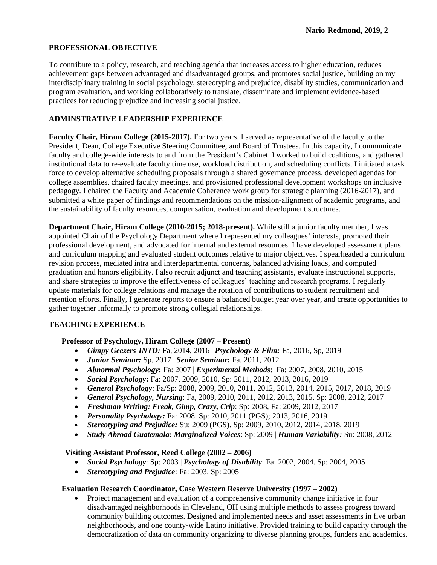# **PROFESSIONAL OBJECTIVE**

To contribute to a policy, research, and teaching agenda that increases access to higher education, reduces achievement gaps between advantaged and disadvantaged groups, and promotes social justice, building on my interdisciplinary training in social psychology, stereotyping and prejudice, disability studies, communication and program evaluation, and working collaboratively to translate, disseminate and implement evidence-based practices for reducing prejudice and increasing social justice.

# **ADMINSTRATIVE LEADERSHIP EXPERIENCE**

**Faculty Chair, Hiram College (2015-2017).** For two years, I served as representative of the faculty to the President, Dean, College Executive Steering Committee, and Board of Trustees. In this capacity, I communicate faculty and college-wide interests to and from the President's Cabinet. I worked to build coalitions, and gathered institutional data to re-evaluate faculty time use, workload distribution, and scheduling conflicts. I initiated a task force to develop alternative scheduling proposals through a shared governance process, developed agendas for college assemblies, chaired faculty meetings, and provisioned professional development workshops on inclusive pedagogy. I chaired the Faculty and Academic Coherence work group for strategic planning (2016-2017), and submitted a white paper of findings and recommendations on the mission-alignment of academic programs, and the sustainability of faculty resources, compensation, evaluation and development structures.

**Department Chair, Hiram College (2010-2015; 2018-present).** While still a junior faculty member, I was appointed Chair of the Psychology Department where I represented my colleagues' interests, promoted their professional development, and advocated for internal and external resources. I have developed assessment plans and curriculum mapping and evaluated student outcomes relative to major objectives. I spearheaded a curriculum revision process, mediated intra and interdepartmental concerns, balanced advising loads, and computed graduation and honors eligibility. I also recruit adjunct and teaching assistants, evaluate instructional supports, and share strategies to improve the effectiveness of colleagues' teaching and research programs. I regularly update materials for college relations and manage the rotation of contributions to student recruitment and retention efforts. Finally, I generate reports to ensure a balanced budget year over year, and create opportunities to gather together informally to promote strong collegial relationships.

# **TEACHING EXPERIENCE**

### **Professor of Psychology, Hiram College (2007 – Present)**

- *Gimpy Geezers-INTD:* Fa, 2014, 2016 | *Psychology & Film:* Fa, 2016, Sp, 2019
- *Junior Seminar:* Sp, 2017 | *Senior Seminar***:** Fa, 2011, 2012
- *Abnormal Psychology***:** Fa: 2007 | *Experimental Methods*: Fa: 2007, 2008, 2010, 2015
- *Social Psychology***:** Fa: 2007, 2009, 2010, Sp: 2011, 2012, 2013, 2016, 2019
- *General Psychology*: Fa/Sp: 2008, 2009, 2010, 2011, 2012, 2013, 2014, 2015, 2017, 2018, 2019
- *General Psychology, Nursing*: Fa, 2009, 2010, 2011, 2012, 2013, 2015. Sp: 2008, 2012, 2017
- *Freshman Writing: Freak, Gimp, Crazy, Crip*: Sp: 2008, Fa: 2009, 2012, 2017
- *Personality Psychology:* Fa: 2008. Sp: 2010, 2011 (PGS); 2013, 2016, 2019
- *Stereotyping and Prejudice:* Su: 2009 (PGS). Sp: 2009, 2010, 2012, 2014, 2018, 2019
- *Study Abroad Guatemala: Marginalized Voices*: Sp: 2009 | *Human Variability:* Su: 2008, 2012

### **Visiting Assistant Professor, Reed College (2002 – 2006)**

- *Social Psychology*: Sp: 2003 | *Psychology of Disability*: Fa: 2002, 2004. Sp: 2004, 2005
- *Stereotyping and Prejudice*: Fa: 2003. Sp: 2005

### **Evaluation Research Coordinator, Case Western Reserve University (1997 – 2002)**

 Project management and evaluation of a comprehensive community change initiative in four disadvantaged neighborhoods in Cleveland, OH using multiple methods to assess progress toward community building outcomes. Designed and implemented needs and asset assessments in five urban neighborhoods, and one county-wide Latino initiative. Provided training to build capacity through the democratization of data on community organizing to diverse planning groups, funders and academics.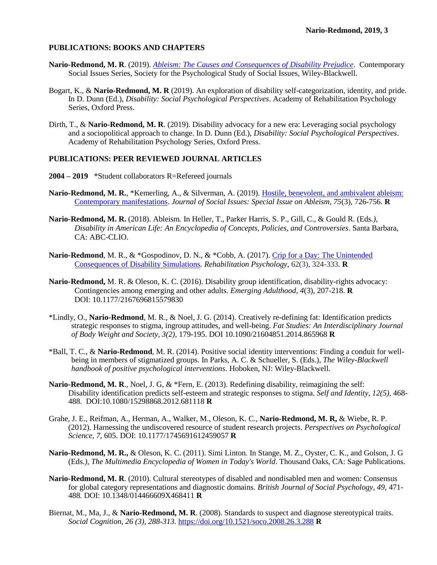### **PUBLICATIONS: BOOKS AND CHAPTERS**

- **Nario-Redmond, M. R**. (2019). *[Ableism: The Causes and Consequences of Disability Prejudice](https://ableismbook.com/)*. Contemporary Social Issues Series, Society for the Psychological Study of Social Issues, Wiley-Blackwell.
- Bogart, K., & **Nario-Redmond, M. R** (2019). An exploration of disability self-categorization, identity, and pride. In D. Dunn (Ed.), *Disability: Social Psychological Perspectives*. Academy of Rehabilitation Psychology Series, Oxford Press.
- Dirth, T., & **Nario-Redmond, M. R**. (2019). Disability advocacy for a new era: Leveraging social psychology and a sociopolitical approach to change. In D. Dunn (Ed.), *Disability: Social Psychological Perspectives*. Academy of Rehabilitation Psychology Series, Oxford Press.

### **PUBLICATIONS: PEER REVIEWED JOURNAL ARTICLES**

- **2004 – 2019** \*Student collaborators R=Refereed journals
- **Nario-Redmond, M. R.**, \*Kemerling, A., & Silverman, A. (2019). [Hostile, benevolent, and ambivalent ableism:](https://spssi.onlinelibrary.wiley.com/doi/10.1111/josi.12337)  [Contemporary manifestations.](https://spssi.onlinelibrary.wiley.com/doi/10.1111/josi.12337) *Journal of Social Issues: Special Issue on Ableism, 75*(3), 726-756. **R**
- **Nario-Redmond, M. R.** (2018). Ableism*.* In Heller, T., Parker Harris, S. P., Gill, C., & Gould R. (Eds*.), Disability in American Life: An Encyclopedia of Concepts, Policies, and Controversies*. Santa Barbara, CA: ABC-CLIO.
- **Nario-Redmond**, M. R., & \*Gospodinov, D. N., & \*Cobb, A. (2017). [Crip for a Day: The Unintended](https://www.researchgate.net/publication/314968962_Crip_for_a_Day_The_Unintended_Negative_Consequences_of_Disability_Simulations)  [Consequences of Disability Simulations](https://www.researchgate.net/publication/314968962_Crip_for_a_Day_The_Unintended_Negative_Consequences_of_Disability_Simulations)*. Rehabilitation Psychology,* 62(3), 324-333*.* **R**
- **Nario-Redmond,** M. R. & Oleson, K. C. (2016). Disability group identification, disability-rights advocacy: Contingencies among emerging and other adults*. Emerging Adulthood, 4*(3), 207-218. **R** DOI: 10.1177/2167696815579830
- \*Lindly, O., **Nario-Redmond**, M. R., & Noel, J. G. (2014). Creatively re-defining fat: Identification predicts strategic responses to stigma, ingroup attitudes, and well-being. *Fat Studies: An Interdisciplinary Journal of Body Weight and Society, 3(2),* 179-195. DOI 10.1090/21604851.2014.865968 **R**
- \*Ball, T. C., & **Nario-Redmond**, M. R. (2014). Positive social identity interventions: Finding a conduit for wellbeing in members of stigmatized groups. In Parks, A. C. & Schueller, S. (Eds.), *The Wiley-Blackwell handbook of positive psychological interventions*. Hoboken, NJ: Wiley-Blackwell*.*
- **Nario-Redmond, M. R**., Noel, J. G, & \*Fern, E. (2013). Redefining disability, reimagining the self: Disability identification predicts self-esteem and strategic responses to stigma. *Self and Identity, 12(5),* 468- 488. DOI:10.1080/15298868.2012.681118 **R**
- Grahe, J. E., Reifman, A., Herman, A., Walker, M., Oleson, K. C., **Nario-Redmond, M. R,** & Wiebe, R. P. (2012). Harnessing the undiscovered resource of student research projects. *Perspectives on Psychological Science, 7,* 605. DOI: 10.1177/1745691612459057 **R**
- **Nario-Redmond, M. R.,** & Oleson, K. C. (2011). Simi Linton*.* In Stange, M. Z., Oyster, C. K., and Golson, J. G (Eds*.), The Multimedia Encyclopedia of Women in Today's World*. Thousand Oaks, CA: Sage Publications.
- **Nario-Redmond, M. R**. (2010). Cultural stereotypes of disabled and nondisabled men and women: Consensus for global category representations and diagnostic domains*. British Journal of Social Psychology, 49,* 471- 488*.* DOI: 10.1348/014466609X468411 **R**
- Biernat, M., Ma, J., & **Nario-Redmond, M. R**. (2008). Standards to suspect and diagnose stereotypical traits. *Social Cognition, 26 (3), 288-313.* <https://doi.org/10.1521/soco.2008.26.3.288> **R**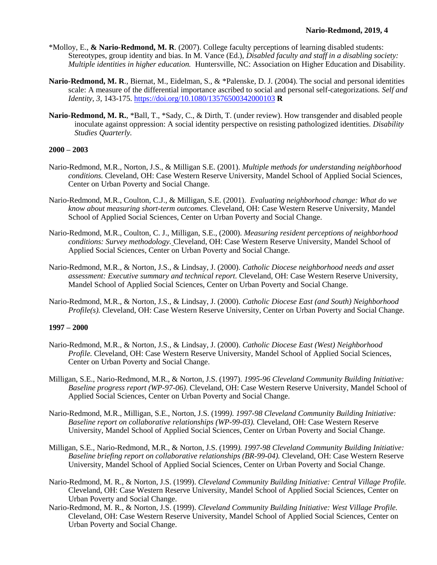- \*Molloy, E., **& Nario-Redmond, M. R**. (2007). College faculty perceptions of learning disabled students: Stereotypes, group identity and bias. In M. Vance (Ed.), *Disabled faculty and staff in a disabling society: Multiple identities in higher education.* Huntersville, NC: Association on Higher Education and Disability.
- **Nario-Redmond, M. R**., Biernat, M., Eidelman, S., & \*Palenske, D. J. (2004). The social and personal identities scale: A measure of the differential importance ascribed to social and personal self-categorizations*. Self and Identity, 3,* 143-175. <https://doi.org/10.1080/13576500342000103> **R**
- **Nario-Redmond, M. R.**, \*Ball, T., \*Sady, C., & Dirth, T. (under review). How transgender and disabled people inoculate against oppression: A social identity perspective on resisting pathologized identities. *Disability Studies Quarterly.*

### **2000 – 2003**

- Nario-Redmond, M.R., Norton, J.S., & Milligan S.E. (2001). *Multiple methods for understanding neighborhood conditions.* Cleveland, OH: Case Western Reserve University, Mandel School of Applied Social Sciences, Center on Urban Poverty and Social Change.
- Nario-Redmond, M.R., Coulton, C.J., & Milligan, S.E. (2001). *Evaluating neighborhood change: What do we know about measuring short-term outcomes.* Cleveland, OH: Case Western Reserve University, Mandel School of Applied Social Sciences, Center on Urban Poverty and Social Change.
- Nario-Redmond, M.R., Coulton, C. J., Milligan, S.E., (2000). *Measuring resident perceptions of neighborhood conditions: Survey methodology.* Cleveland, OH: Case Western Reserve University, Mandel School of Applied Social Sciences, Center on Urban Poverty and Social Change.
- Nario-Redmond, M.R., & Norton, J.S., & Lindsay, J. (2000). *Catholic Diocese neighborhood needs and asset assessment: Executive summary and technical report.* Cleveland, OH: Case Western Reserve University, Mandel School of Applied Social Sciences, Center on Urban Poverty and Social Change.
- Nario-Redmond, M.R., & Norton, J.S., & Lindsay, J. (2000). *Catholic Diocese East (and South) Neighborhood Profile(s).* Cleveland, OH: Case Western Reserve University, Center on Urban Poverty and Social Change.

### **1997 – 2000**

- Nario-Redmond, M.R., & Norton, J.S., & Lindsay, J. (2000). *Catholic Diocese East (West) Neighborhood Profile.* Cleveland, OH: Case Western Reserve University, Mandel School of Applied Social Sciences, Center on Urban Poverty and Social Change.
- Milligan, S.E., Nario-Redmond, M.R., & Norton, J.S. (1997). *1995-96 Cleveland Community Building Initiative: Baseline progress report (WP-97-06).* Cleveland, OH: Case Western Reserve University, Mandel School of Applied Social Sciences, Center on Urban Poverty and Social Change.
- Nario-Redmond, M.R., Milligan, S.E., Norton, J.S. (1999*). 1997-98 Cleveland Community Building Initiative: Baseline report on collaborative relationships (WP-99-03).* Cleveland, OH: Case Western Reserve University, Mandel School of Applied Social Sciences, Center on Urban Poverty and Social Change.
- Milligan, S.E., Nario-Redmond, M.R., & Norton, J.S. (1999*). 1997-98 Cleveland Community Building Initiative: Baseline briefing report on collaborative relationships (BR-99-04).* Cleveland, OH: Case Western Reserve University, Mandel School of Applied Social Sciences, Center on Urban Poverty and Social Change.
- Nario-Redmond, M. R., & Norton, J.S. (1999). *Cleveland Community Building Initiative: Central Village Profile.* Cleveland, OH: Case Western Reserve University, Mandel School of Applied Social Sciences, Center on Urban Poverty and Social Change.
- Nario-Redmond, M. R., & Norton, J.S. (1999). *Cleveland Community Building Initiative: West Village Profile.* Cleveland, OH: Case Western Reserve University, Mandel School of Applied Social Sciences, Center on Urban Poverty and Social Change.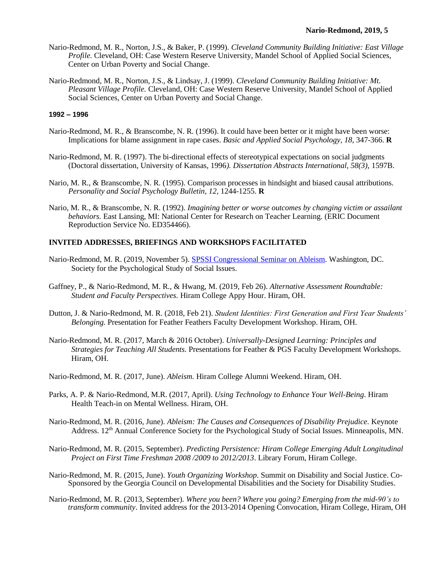- Nario-Redmond, M. R., Norton, J.S., & Baker, P. (1999). *Cleveland Community Building Initiative: East Village Profile.* Cleveland, OH: Case Western Reserve University, Mandel School of Applied Social Sciences, Center on Urban Poverty and Social Change.
- Nario-Redmond, M. R., Norton, J.S., & Lindsay, J. (1999). *Cleveland Community Building Initiative: Mt. Pleasant Village Profile.* Cleveland, OH: Case Western Reserve University, Mandel School of Applied Social Sciences, Center on Urban Poverty and Social Change.

### **1992 – 1996**

- Nario-Redmond, M. R., & Branscombe, N. R. (1996). It could have been better or it might have been worse: Implications for blame assignment in rape cases. *Basic and Applied Social Psychology, 18,* 347-366. **R**
- Nario-Redmond, M. R. (1997). The bi-directional effects of stereotypical expectations on social judgments (Doctoral dissertation, University of Kansas, 1996*). Dissertation Abstracts International, 58(3),* 1597B.
- Nario, M. R., & Branscombe, N. R. (1995). Comparison processes in hindsight and biased causal attributions. *Personality and Social Psychology Bulletin, 12,* 1244-1255. **R**
- Nario, M. R., & Branscombe, N. R. (1992). *Imagining better or worse outcomes by changing victim or assailant behaviors.* East Lansing, MI: National Center for Research on Teacher Learning. (ERIC Document Reproduction Service No. ED354466).

#### **INVITED ADDRESSES, BRIEFINGS AND WORKSHOPS FACILITATED**

- Nario-Redmond, M. R. (2019, November 5). [SPSSI Congressional Seminar on Ableism.](https://www.youtube.com/watch?v=qoFIJhbIJs8) Washington, DC. Society for the Psychological Study of Social Issues.
- Gaffney, P., & Nario-Redmond, M. R., & Hwang, M. (2019, Feb 26). *Alternative Assessment Roundtable: Student and Faculty Perspectives.* Hiram College Appy Hour. Hiram, OH.
- Dutton, J. & Nario-Redmond, M. R. (2018, Feb 21). *Student Identities: First Generation and First Year Students' Belonging.* Presentation for Feather Feathers Faculty Development Workshop. Hiram, OH.
- Nario-Redmond, M. R. (2017, March & 2016 October). *Universally-Designed Learning: Principles and Strategies for Teaching All Students.* Presentations for Feather & PGS Faculty Development Workshops. Hiram, OH.
- Nario-Redmond, M. R. (2017, June). *Ableism.* Hiram College Alumni Weekend. Hiram, OH.
- Parks, A. P. & Nario-Redmond, M.R. (2017, April). *Using Technology to Enhance Your Well-Being*. Hiram Health Teach-in on Mental Wellness. Hiram, OH.
- Nario-Redmond, M. R. (2016, June). *Ableism: The Causes and Consequences of Disability Prejudice.* Keynote Address. 12th Annual Conference Society for the Psychological Study of Social Issues. Minneapolis, MN.
- Nario-Redmond, M. R. (2015, September). *Predicting Persistence: Hiram College Emerging Adult Longitudinal Project on First Time Freshman 2008 /2009 to 2012/2013*. Library Forum, Hiram College.
- Nario-Redmond, M. R. (2015, June). *Youth Organizing Workshop*. Summit on Disability and Social Justice. Co-Sponsored by the Georgia Council on Developmental Disabilities and the Society for Disability Studies.
- Nario-Redmond, M. R. (2013, September). *Where you been? Where you going? Emerging from the mid-90's to transform community*. Invited address for the 2013-2014 Opening Convocation, Hiram College, Hiram, OH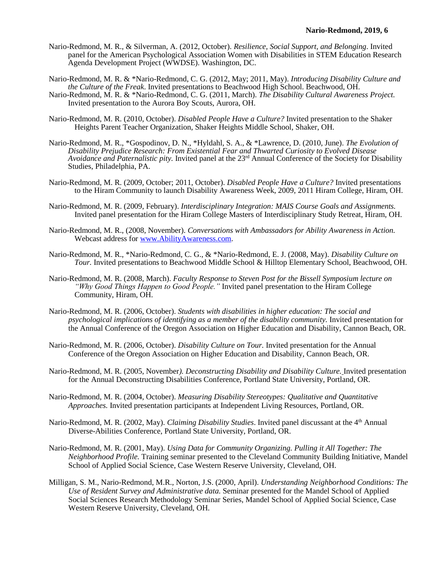- Nario-Redmond, M. R., & Silverman, A. (2012, October). *Resilience, Social Support, and Belonging*. Invited panel for the American Psychological Association Women with Disabilities in STEM Education Research Agenda Development Project (WWDSE). Washington, DC.
- Nario-Redmond, M. R. & \*Nario-Redmond, C. G. (2012, May; 2011, May). *Introducing Disability Culture and the Culture of the Freak*. Invited presentations to Beachwood High School. Beachwood, OH.
- Nario-Redmond, M. R. & \*Nario-Redmond, C. G. (2011, March). *The Disability Cultural Awareness Project.* Invited presentation to the Aurora Boy Scouts, Aurora, OH.
- Nario-Redmond, M. R. (2010, October). *Disabled People Have a Culture?* Invited presentation to the Shaker Heights Parent Teacher Organization, Shaker Heights Middle School, Shaker, OH.
- Nario-Redmond, M. R., \*Gospodinov, D. N., \*Hyldahl, S. A., & \*Lawrence, D. (2010, June). *The Evolution of Disability Prejudice Research: From Existential Fear and Thwarted Curiosity to Evolved Disease Avoidance and Paternalistic pity.* Invited panel at the 23<sup>rd</sup> Annual Conference of the Society for Disability Studies, Philadelphia, PA.
- Nario-Redmond, M. R. (2009, October; 2011, October). *Disabled People Have a Culture?* Invited presentations to the Hiram Community to launch Disability Awareness Week, 2009, 2011 Hiram College, Hiram, OH.
- Nario-Redmond, M. R. (2009, February). *Interdisciplinary Integration: MAIS Course Goals and Assignments.* Invited panel presentation for the Hiram College Masters of Interdisciplinary Study Retreat, Hiram, OH.
- Nario-Redmond, M. R., (2008, November). *Conversations with Ambassadors for Ability Awareness in Action.*  Webcast address for [www.AbilityAwareness.com.](http://www.abilityawareness.com/)
- Nario-Redmond, M. R., \*Nario-Redmond, C. G., & \*Nario-Redmond, E. J. (2008, May). *Disability Culture on Tour.* Invited presentations to Beachwood Middle School & Hilltop Elementary School, Beachwood, OH.
- Nario-Redmond, M. R. (2008, March). *Faculty Response to Steven Post for the Bissell Symposium lecture on "Why Good Things Happen to Good People."* Invited panel presentation to the Hiram College Community, Hiram, OH.
- Nario-Redmond, M. R. (2006, October). *Students with disabilities in higher education: The social and psychological implications of identifying as a member of the disability community.* Invited presentation for the Annual Conference of the Oregon Association on Higher Education and Disability, Cannon Beach, OR.
- Nario-Redmond, M. R. (2006, October). *Disability Culture on Tour.* Invited presentation for the Annual Conference of the Oregon Association on Higher Education and Disability, Cannon Beach, OR.
- Nario-Redmond, M. R. (2005, November*). Deconstructing Disability and Disability Culture.* Invited presentation for the Annual Deconstructing Disabilities Conference, Portland State University, Portland, OR.
- Nario-Redmond, M. R. (2004, October). *Measuring Disability Stereotypes: Qualitative and Quantitative Approaches.* Invited presentation participants at Independent Living Resources, Portland, OR.
- Nario-Redmond, M. R. (2002, May). *Claiming Disability Studies*. Invited panel discussant at the 4<sup>th</sup> Annual Diverse-Abilities Conference, Portland State University, Portland, OR.
- Nario-Redmond, M. R. (2001, May). *Using Data for Community Organizing. Pulling it All Together: The Neighborhood Profile.* Training seminar presented to the Cleveland Community Building Initiative, Mandel School of Applied Social Science, Case Western Reserve University, Cleveland, OH.
- Milligan, S. M., Nario-Redmond, M.R., Norton, J.S. (2000, April). *Understanding Neighborhood Conditions: The Use of Resident Survey and Administrative data.* Seminar presented for the Mandel School of Applied Social Sciences Research Methodology Seminar Series, Mandel School of Applied Social Science, Case Western Reserve University, Cleveland, OH.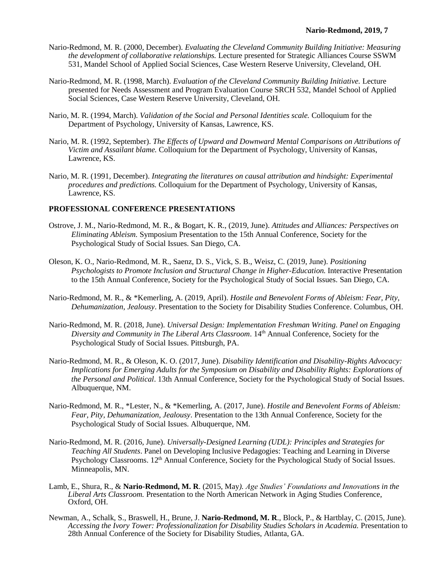- Nario-Redmond, M. R. (2000, December). *Evaluating the Cleveland Community Building Initiative: Measuring the development of collaborative relationships.* Lecture presented for Strategic Alliances Course SSWM 531, Mandel School of Applied Social Sciences, Case Western Reserve University, Cleveland, OH.
- Nario-Redmond, M. R. (1998, March). *Evaluation of the Cleveland Community Building Initiative.* Lecture presented for Needs Assessment and Program Evaluation Course SRCH 532, Mandel School of Applied Social Sciences, Case Western Reserve University, Cleveland, OH.
- Nario, M. R. (1994, March). *Validation of the Social and Personal Identities scale.* Colloquium for the Department of Psychology, University of Kansas, Lawrence, KS.
- Nario, M. R. (1992, September). *The Effects of Upward and Downward Mental Comparisons on Attributions of Victim and Assailant blame.* Colloquium for the Department of Psychology, University of Kansas, Lawrence, KS.
- Nario, M. R. (1991, December). *Integrating the literatures on causal attribution and hindsight: Experimental procedures and predictions.* Colloquium for the Department of Psychology, University of Kansas, Lawrence, KS.

### **PROFESSIONAL CONFERENCE PRESENTATIONS**

- Ostrove, J. M., Nario-Redmond, M. R., & Bogart, K. R., (2019, June). *Attitudes and Alliances: Perspectives on Eliminating Ableism.* Symposium Presentation to the 15th Annual Conference, Society for the Psychological Study of Social Issues. San Diego, CA.
- Oleson, K. O., Nario-Redmond, M. R., Saenz, D. S., Vick, S. B., Weisz, C. (2019, June). *Positioning Psychologists to Promote Inclusion and Structural Change in Higher-Education.* Interactive Presentation to the 15th Annual Conference, Society for the Psychological Study of Social Issues. San Diego, CA.
- Nario-Redmond, M. R., & \*Kemerling, A. (2019, April). *Hostile and Benevolent Forms of Ableism: Fear, Pity, Dehumanization, Jealousy*. Presentation to the Society for Disability Studies Conference. Columbus, OH.
- Nario-Redmond, M. R. (2018, June). *Universal Design: Implementation Freshman Writing. Panel on Engaging Diversity and Community in The Liberal Arts Classroom*. 14th Annual Conference, Society for the Psychological Study of Social Issues. Pittsburgh, PA.
- Nario-Redmond, M. R., & Oleson, K. O. (2017, June). *Disability Identification and Disability-Rights Advocacy: Implications for Emerging Adults for the Symposium on Disability and Disability Rights: Explorations of the Personal and Political*. 13th Annual Conference, Society for the Psychological Study of Social Issues. Albuquerque, NM.
- Nario-Redmond, M. R., \*Lester, N., & \*Kemerling, A. (2017, June). *Hostile and Benevolent Forms of Ableism: Fear, Pity, Dehumanization, Jealousy*. Presentation to the 13th Annual Conference, Society for the Psychological Study of Social Issues. Albuquerque, NM.
- Nario-Redmond, M. R. (2016, June). *Universally-Designed Learning (UDL): Principles and Strategies for Teaching All Students*. Panel on Developing Inclusive Pedagogies: Teaching and Learning in Diverse Psychology Classrooms. 12<sup>th</sup> Annual Conference, Society for the Psychological Study of Social Issues. Minneapolis, MN.
- Lamb, E., Shura, R., & **Nario-Redmond, M. R**. (2015, May*). Age Studies' Foundations and Innovations in the Liberal Arts Classroom.* Presentation to the North American Network in Aging Studies Conference, Oxford, OH.
- Newman, A., Schalk, S., Braswell, H., Brune, J. **Nario-Redmond, M. R**., Block, P., & Hartblay, C. (2015, June). *Accessing the Ivory Tower: Professionalization for Disability Studies Scholars in Academia.* Presentation to 28th Annual Conference of the Society for Disability Studies, Atlanta, GA.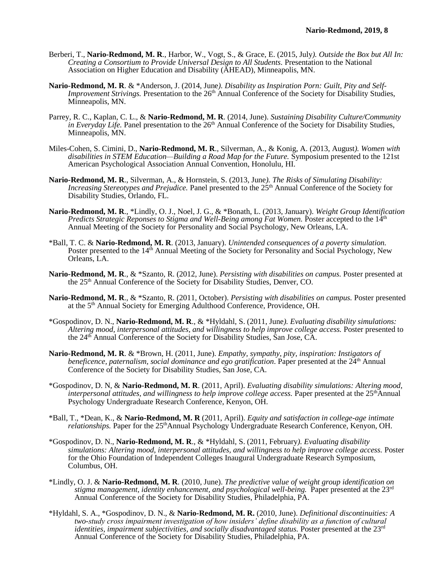- Berberi, T., **Nario-Redmond, M. R**., Harbor, W., Vogt, S., & Grace, E. (2015, July*). Outside the Box but All In: Creating a Consortium to Provide Universal Design to All Students.* Presentation to the National Association on Higher Education and Disability (AHEAD), Minneapolis, MN.
- **Nario-Redmond, M. R**. & \*Anderson, J. (2014, June*). Disability as Inspiration Porn: Guilt, Pity and Self-Improvement Strivings.* Presentation to the 26<sup>th</sup> Annual Conference of the Society for Disability Studies, Minneapolis, MN.
- Parrey, R. C., Kaplan, C. L., & **Nario-Redmond, M. R**. (2014, June). *Sustaining Disability Culture/Community in Everyday Life.* Panel presentation to the 26<sup>th</sup> Annual Conference of the Society for Disability Studies, Minneapolis, MN.
- Miles-Cohen, S. Cimini, D., **Nario-Redmond, M. R**., Silverman, A., & Konig, A. (2013, August*). Women with disabilities in STEM Education—Building a Road Map for the Future.* Symposium presented to the 121st American Psychological Association Annual Convention, Honolulu, HI.
- **Nario-Redmond, M. R**., Silverman, A., & Hornstein, S. (2013, June*). The Risks of Simulating Disability: Increasing Stereotypes and Prejudice.* Panel presented to the 25<sup>th</sup> Annual Conference of the Society for Disability Studies, Orlando, FL.
- **Nario-Redmond, M. R**., \*Lindly, O. J., Noel, J. G., & \*Bonath, L. (2013, January). *Weight Group Identification*  Predicts Strategic Reponses to Stigma and Well-Being among Fat Women. Poster accepted to the 14<sup>th</sup> Annual Meeting of the Society for Personality and Social Psychology, New Orleans, LA.
- \*Ball, T. C. & **Nario-Redmond, M. R**. (2013, January). *Unintended consequences of a poverty simulation.* Poster presented to the 14<sup>th</sup> Annual Meeting of the Society for Personality and Social Psychology, New Orleans, LA.
- **Nario-Redmond, M. R**., & \*Szanto, R. (2012, June). *Persisting with disabilities on campus.* Poster presented at the 25th Annual Conference of the Society for Disability Studies, Denver, CO.
- **Nario-Redmond, M. R**., & \*Szanto, R. (2011, October). *Persisting with disabilities on campus.* Poster presented at the 5th Annual Society for Emerging Adulthood Conference, Providence, OH.
- \*Gospodinov, D. N., **Nario-Redmond, M. R**., & \*Hyldahl, S. (2011, June*). Evaluating disability simulations: Altering mood, interpersonal attitudes, and willingness to help improve college access.* Poster presented to the 24th Annual Conference of the Society for Disability Studies, San Jose, CA.
- **Nario-Redmond, M. R**. & \*Brown, H. (2011, June). *Empathy, sympathy, pity, inspiration: Instigators of beneficence, paternalism, social dominance and ego gratification.* Paper presented at the 24<sup>th</sup> Annual Conference of the Society for Disability Studies, San Jose, CA.
- \*Gospodinov, D. N, & **Nario-Redmond, M. R**. (2011, April). *Evaluating disability simulations: Altering mood, interpersonal attitudes, and willingness to help improve college access.* Paper presented at the 25<sup>th</sup>Annual Psychology Undergraduate Research Conference, Kenyon, OH.
- \*Ball, T., \*Dean, K., & **Nario-Redmond, M. R** (2011, April). *Equity and satisfaction in college-age intimate relationships*. Paper for the 25<sup>th</sup>Annual Psychology Undergraduate Research Conference, Kenyon, OH.
- \*Gospodinov, D. N., **Nario-Redmond, M. R**., & \*Hyldahl, S. (2011, February*). Evaluating disability simulations: Altering mood, interpersonal attitudes, and willingness to help improve college access.* Poster for the Ohio Foundation of Independent Colleges Inaugural Undergraduate Research Symposium, Columbus, OH.
- \*Lindly, O. J. & **Nario-Redmond, M. R**. (2010, June). *The predictive value of weight group identification on stigma management, identity enhancement, and psychological well-being.* Paper presented at the 23rd Annual Conference of the Society for Disability Studies, Philadelphia, PA.
- \*Hyldahl, S. A., \*Gospodinov, D. N., & **Nario-Redmond, M. R.** (2010, June). *Definitional discontinuities: A two-study cross impairment investigation of how insiders' define disability as a function of cultural identities, impairment subjectivities, and socially disadvantaged status.* Poster presented at the 23rd Annual Conference of the Society for Disability Studies, Philadelphia, PA.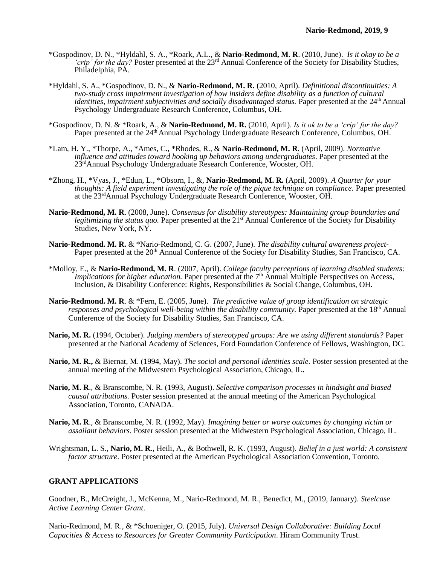- \*Gospodinov, D. N., \*Hyldahl, S. A., \*Roark, A.L., & **Nario-Redmond, M. R**. (2010, June). *Is it okay to be a 'crip' for the day?* Poster presented at the 23<sup>rd</sup> Annual Conference of the Society for Disability Studies, Philadelphia, PA.
- \*Hyldahl, S. A., \*Gospodinov, D. N., & **Nario-Redmond, M. R.** (2010, April). *Definitional discontinuities: A two-study cross impairment investigation of how insiders define disability as a function of cultural identities, impairment subjectivities and socially disadvantaged status.* Paper presented at the 24<sup>th</sup> Annual Psychology Undergraduate Research Conference, Columbus, OH.
- \*Gospodinov, D. N. & \*Roark, A., & **Nario-Redmond, M. R.** (2010, April). *Is it ok to be a 'crip' for the day?*  Paper presented at the 24<sup>th</sup> Annual Psychology Undergraduate Research Conference, Columbus, OH.
- \*Lam, H. Y., \*Thorpe, A., \*Ames, C., \*Rhodes, R., & **Nario-Redmond, M. R**. (April, 2009). *Normative influence and attitudes toward hooking up behaviors among undergraduates*. Paper presented at the 23<sup>rd</sup>Annual Psychology Undergraduate Research Conference, Wooster, OH.
- \*Zhong, H., \*Vyas, J., \*Edun, L., \*Obsorn, I., &, **Nario-Redmond, M. R.** (April, 2009). *A Quarter for your thoughts: A field experiment investigating the role of the pique technique on compliance. Paper presented* at the 23rdAnnual Psychology Undergraduate Research Conference, Wooster, OH.
- **Nario-Redmond, M. R**. (2008, June). *Consensus for disability stereotypes: Maintaining group boundaries and legitimizing the status quo.* Paper presented at the 21<sup>st</sup> Annual Conference of the Society for Disability Studies, New York, NY.
- **Nario-Redmond. M. R.** & \*Nario-Redmond, C. G. (2007, June). *The disability cultural awareness project-*Paper presented at the 20<sup>th</sup> Annual Conference of the Society for Disability Studies, San Francisco, CA.
- \*Molloy, E., & **Nario-Redmond, M. R**. (2007, April). *College faculty perceptions of learning disabled students: Implications for higher education*. Paper presented at the 7<sup>th</sup> Annual Multiple Perspectives on Access, Inclusion, & Disability Conference: Rights, Responsibilities & Social Change, Columbus, OH.
- **Nario-Redmond. M. R**. & \*Fern, E. (2005, June). *The predictive value of group identification on strategic responses and psychological well-being within the disability community.* Paper presented at the 18<sup>th</sup> Annual Conference of the Society for Disability Studies, San Francisco, CA.
- **Nario, M. R.** (1994, October). *Judging members of stereotyped groups: Are we using different standards?* Paper presented at the National Academy of Sciences, Ford Foundation Conference of Fellows, Washington, DC.
- **Nario, M. R.,** & Biernat, M. (1994, May). *The social and personal identities scale.* Poster session presented at the annual meeting of the Midwestern Psychological Association, Chicago, IL**.**
- **Nario, M. R**., & Branscombe, N. R. (1993, August). *Selective comparison processes in hindsight and biased causal attributions.* Poster session presented at the annual meeting of the American Psychological Association, Toronto, CANADA.
- **Nario, M. R**., & Branscombe, N. R. (1992, May). *Imagining better or worse outcomes by changing victim or assailant behaviors.* Poster session presented at the Midwestern Psychological Association, Chicago, IL.
- Wrightsman, L. S., **Nario, M. R**., Heili, A., & Bothwell, R. K. (1993, August). *Belief in a just world: A consistent factor structure.* Poster presented at the American Psychological Association Convention, Toronto.

#### **GRANT APPLICATIONS**

Goodner, B., McCreight, J., McKenna, M., Nario-Redmond, M. R., Benedict, M., (2019, January). *Steelcase Active Learning Center Grant*.

Nario-Redmond, M. R., & \*Schoeniger, O. (2015, July). *Universal Design Collaborative: Building Local Capacities & Access to Resources for Greater Community Participation*. Hiram Community Trust.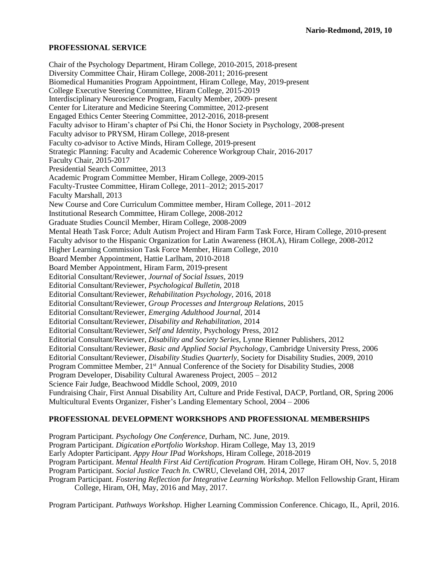#### **PROFESSIONAL SERVICE**

Chair of the Psychology Department, Hiram College, 2010-2015, 2018-present Diversity Committee Chair, Hiram College, 2008-2011; 2016-present Biomedical Humanities Program Appointment, Hiram College, May, 2019-present College Executive Steering Committee, Hiram College, 2015-2019 Interdisciplinary Neuroscience Program, Faculty Member, 2009- present Center for Literature and Medicine Steering Committee, 2012-present Engaged Ethics Center Steering Committee, 2012-2016, 2018-present Faculty advisor to Hiram's chapter of Psi Chi, the Honor Society in Psychology, 2008-present Faculty advisor to PRYSM, Hiram College, 2018-present Faculty co-advisor to Active Minds, Hiram College, 2019-present Strategic Planning: Faculty and Academic Coherence Workgroup Chair, 2016-2017 Faculty Chair, 2015-2017 Presidential Search Committee, 2013 Academic Program Committee Member, Hiram College, 2009-2015 Faculty-Trustee Committee, Hiram College, 2011–2012; 2015-2017 Faculty Marshall, 2013 New Course and Core Curriculum Committee member, Hiram College, 2011–2012 Institutional Research Committee, Hiram College, 2008-2012 Graduate Studies Council Member, Hiram College, 2008-2009 Mental Heath Task Force; Adult Autism Project and Hiram Farm Task Force, Hiram College, 2010-present Faculty advisor to the Hispanic Organization for Latin Awareness (HOLA), Hiram College, 2008-2012 Higher Learning Commission Task Force Member, Hiram College, 2010 Board Member Appointment, Hattie Larlham, 2010-2018 Board Member Appointment, Hiram Farm, 2019-present Editorial Consultant/Reviewer, *Journal of Social Issues,* 2019 Editorial Consultant/Reviewer, *Psychological Bulletin,* 2018 Editorial Consultant/Reviewer, *Rehabilitation Psychology,* 2016, 2018 Editorial Consultant/Reviewer, *Group Processes and Intergroup Relations,* 2015 Editorial Consultant/Reviewer, *Emerging Adulthood Journal,* 2014 Editorial Consultant/Reviewer, *Disability and Rehabilitation,* 2014 Editorial Consultant/Reviewer, *Self and Identity*, Psychology Press, 2012 Editorial Consultant/Reviewer, *Disability and Society Series*, Lynne Rienner Publishers, 2012 Editorial Consultant/Reviewer, *Basic and Applied Social Psychology*, Cambridge University Press, 2006 Editorial Consultant/Reviewer, *Disability Studies Quarterly,* Society for Disability Studies, 2009, 2010 Program Committee Member, 21<sup>st</sup> Annual Conference of the Society for Disability Studies, 2008 Program Developer, Disability Cultural Awareness Project, 2005 – 2012 Science Fair Judge, Beachwood Middle School, 2009, 2010 Fundraising Chair, First Annual Disability Art, Culture and Pride Festival, DACP, Portland, OR, Spring 2006 Multicultural Events Organizer, Fisher's Landing Elementary School, 2004 – 2006

### **PROFESSIONAL DEVELOPMENT WORKSHOPS AND PROFESSIONAL MEMBERSHIPS**

Program Participant. *Psychology One Conference*, Durham, NC. June, 2019. Program Participant. *Digication ePortfolio Workshop*. Hiram College, May 13, 2019 Early Adopter Participant. *Appy Hour IPad Workshops,* Hiram College, 2018-2019 Program Participant. *Mental Health First Aid Certification Program.* Hiram College, Hiram OH, Nov. 5, 2018 Program Participant. *Social Justice Teach In.* CWRU, Cleveland OH, 2014, 2017 Program Participant. *Fostering Reflection for Integrative Learning Workshop.* Mellon Fellowship Grant, Hiram College, Hiram, OH, May, 2016 and May, 2017.

Program Participant. *Pathways Workshop.* Higher Learning Commission Conference. Chicago, IL, April, 2016.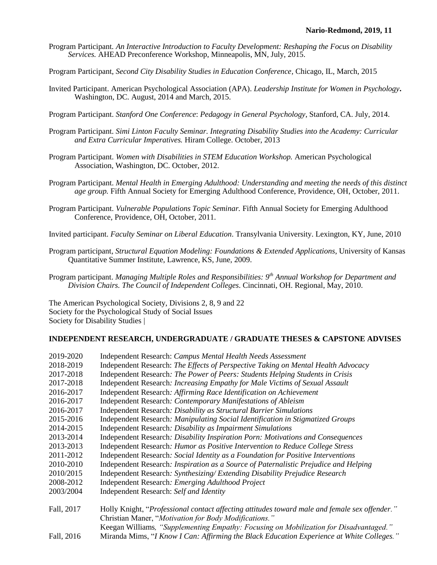- Program Participant*. An Interactive Introduction to Faculty Development: Reshaping the Focus on Disability Services.* AHEAD Preconference Workshop, Minneapolis, MN, July, 2015.
- Program Participant, *Second City Disability Studies in Education Conference,* Chicago, IL, March, 2015
- Invited Participant. American Psychological Association (APA). *Leadership Institute for Women in Psychology***.** Washington, DC. August, 2014 and March, 2015.
- Program Participant. *Stanford One Conference*: *Pedagogy in General Psychology*, Stanford, CA. July, 2014.
- Program Participant. *Simi Linton Faculty Seminar. Integrating Disability Studies into the Academy: Curricular and Extra Curricular Imperatives.* Hiram College. October, 2013
- Program Participant. *Women with Disabilities in STEM Education Workshop.* American Psychological Association, Washington, DC. October, 2012.
- Program Participant. *Mental Health in Emerging Adulthood: Understanding and meeting the needs of this distinct age group.* Fifth Annual Society for Emerging Adulthood Conference, Providence, OH, October, 2011.
- Program Participant. *Vulnerable Populations Topic Seminar.* Fifth Annual Society for Emerging Adulthood Conference, Providence, OH, October, 2011.
- Invited participant. *Faculty Seminar on Liberal Education*. Transylvania University. Lexington, KY, June, 2010
- Program participant, *Structural Equation Modeling: Foundations & Extended Applications*, University of Kansas Quantitative Summer Institute, Lawrence, KS, June, 2009.
- Program participant. *Managing Multiple Roles and Responsibilities: 9th Annual Workshop for Department and Division Chairs. The Council of Independent Colleges*. Cincinnati, OH. Regional, May, 2010.

The American Psychological Society, Divisions 2, 8, 9 and 22 Society for the Psychological Study of Social Issues Society for Disability Studies |

### **INDEPENDENT RESEARCH, UNDERGRADUATE / GRADUATE THESES & CAPSTONE ADVISES**

| 2019-2020  | Independent Research: Campus Mental Health Needs Assessment                                                                                            |
|------------|--------------------------------------------------------------------------------------------------------------------------------------------------------|
| 2018-2019  | Independent Research: The Effects of Perspective Taking on Mental Health Advocacy                                                                      |
| 2017-2018  | Independent Research: The Power of Peers: Students Helping Students in Crisis                                                                          |
| 2017-2018  | Independent Research: <i>Increasing Empathy for Male Victims of Sexual Assault</i>                                                                     |
| 2016-2017  | Independent Research: Affirming Race Identification on Achievement                                                                                     |
| 2016-2017  | Independent Research: Contemporary Manifestations of Ableism                                                                                           |
| 2016-2017  | Independent Research: Disability as Structural Barrier Simulations                                                                                     |
| 2015-2016  | Independent Research: Manipulating Social Identification in Stigmatized Groups                                                                         |
| 2014-2015  | Independent Research: Disability as Impairment Simulations                                                                                             |
| 2013-2014  | Independent Research: Disability Inspiration Porn: Motivations and Consequences                                                                        |
| 2013-2013  | Independent Research: Humor as Positive Intervention to Reduce College Stress                                                                          |
| 2011-2012  | Independent Research: Social Identity as a Foundation for Positive Interventions                                                                       |
| 2010-2010  | Independent Research: Inspiration as a Source of Paternalistic Prejudice and Helping                                                                   |
| 2010/2015  | Independent Research: Synthesizing/Extending Disability Prejudice Research                                                                             |
| 2008-2012  | Independent Research: Emerging Adulthood Project                                                                                                       |
| 2003/2004  | Independent Research: Self and Identity                                                                                                                |
| Fall, 2017 | Holly Knight, "Professional contact affecting attitudes toward male and female sex offender."<br>Christian Maner, "Motivation for Body Modifications." |
|            | Keegan Williams, "Supplementing Empathy: Focusing on Mobilization for Disadvantaged."                                                                  |
| Fall, 2016 | Miranda Mims, "I Know I Can: Affirming the Black Education Experience at White Colleges."                                                              |
|            |                                                                                                                                                        |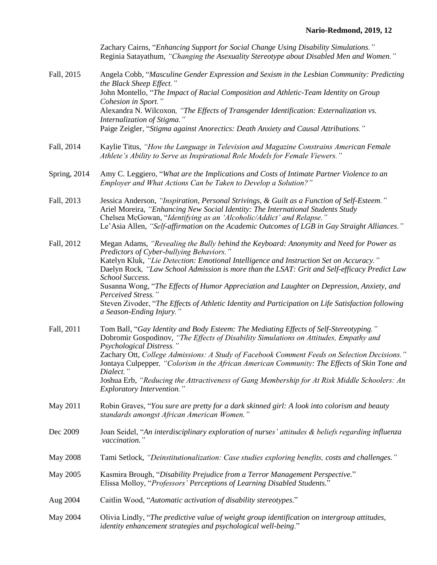# **Nario-Redmond, 2019, 12**

|                 | Zachary Cairns, "Enhancing Support for Social Change Using Disability Simulations."<br>Reginia Satayathum, "Changing the Asexuality Stereotype about Disabled Men and Women."                                                                                                                                                                                                                                                                                                                                                                                                                        |
|-----------------|------------------------------------------------------------------------------------------------------------------------------------------------------------------------------------------------------------------------------------------------------------------------------------------------------------------------------------------------------------------------------------------------------------------------------------------------------------------------------------------------------------------------------------------------------------------------------------------------------|
| Fall, 2015      | Angela Cobb, "Masculine Gender Expression and Sexism in the Lesbian Community: Predicting<br>the Black Sheep Effect."<br>John Montello, "The Impact of Racial Composition and Athletic-Team Identity on Group<br>Cohesion in Sport."<br>Alexandra N. Wilcoxon, "The Effects of Transgender Identification: Externalization vs.<br>Internalization of Stigma."<br>Paige Zeigler, "Stigma against Anorectics: Death Anxiety and Causal Attributions."                                                                                                                                                  |
| Fall, 2014      | Kaylie Titus, "How the Language in Television and Magazine Constrains American Female<br>Athlete's Ability to Serve as Inspirational Role Models for Female Viewers."                                                                                                                                                                                                                                                                                                                                                                                                                                |
| Spring, 2014    | Amy C. Leggiero, "What are the Implications and Costs of Intimate Partner Violence to an<br>Employer and What Actions Can be Taken to Develop a Solution?"                                                                                                                                                                                                                                                                                                                                                                                                                                           |
| Fall, 2013      | Jessica Anderson, "Inspiration, Personal Strivings, & Guilt as a Function of Self-Esteem."<br>Ariel Moreira, "Enhancing New Social Identity: The International Students Study<br>Chelsea McGowan, "Identifying as an 'Alcoholic/Addict' and Relapse."<br>Le'Asia Allen, "Self-affirmation on the Academic Outcomes of LGB in Gay Straight Alliances."                                                                                                                                                                                                                                                |
| Fall, 2012      | Megan Adams, "Revealing the Bully behind the Keyboard: Anonymity and Need for Power as<br>Predictors of Cyber-bullying Behaviors."<br>Katelyn Kluk, "Lie Detection: Emotional Intelligence and Instruction Set on Accuracy."<br>Daelyn Rock, "Law School Admission is more than the LSAT: Grit and Self-efficacy Predict Law<br>School Success.<br>Susanna Wong, "The Effects of Humor Appreciation and Laughter on Depression, Anxiety, and<br>Perceived Stress."<br>Steven Zivoder, "The Effects of Athletic Identity and Participation on Life Satisfaction following<br>a Season-Ending Injury." |
| Fall, 2011      | Tom Ball, "Gay Identity and Body Esteem: The Mediating Effects of Self-Stereotyping."<br>Dobromir Gospodinov, "The Effects of Disability Simulations on Attitudes, Empathy and<br>Psychological Distress."<br>Zachary Ott, College Admissions: A Study of Facebook Comment Feeds on Selection Decisions."<br>Jontaya Culpepper, "Colorism in the African American Community: The Effects of Skin Tone and<br>Dialect."<br>Joshua Erb, "Reducing the Attractiveness of Gang Membership for At Risk Middle Schoolers: An<br><i>Exploratory Intervention.</i> "                                         |
| May 2011        | Robin Graves, "You sure are pretty for a dark skinned girl: A look into colorism and beauty<br>standards amongst African American Women."                                                                                                                                                                                                                                                                                                                                                                                                                                                            |
| Dec 2009        | Joan Seidel, "An interdisciplinary exploration of nurses' attitudes & beliefs regarding influenza<br>vaccination."                                                                                                                                                                                                                                                                                                                                                                                                                                                                                   |
| <b>May 2008</b> | Tami Setlock, "Deinstitutionalization: Case studies exploring benefits, costs and challenges."                                                                                                                                                                                                                                                                                                                                                                                                                                                                                                       |
| May 2005        | Kasmira Brough, "Disability Prejudice from a Terror Management Perspective."<br>Elissa Molloy, "Professors' Perceptions of Learning Disabled Students."                                                                                                                                                                                                                                                                                                                                                                                                                                              |
| Aug 2004        | Caitlin Wood, "Automatic activation of disability stereotypes."                                                                                                                                                                                                                                                                                                                                                                                                                                                                                                                                      |
| May 2004        | Olivia Lindly, "The predictive value of weight group identification on intergroup attitudes,<br>identity enhancement strategies and psychological well-being."                                                                                                                                                                                                                                                                                                                                                                                                                                       |